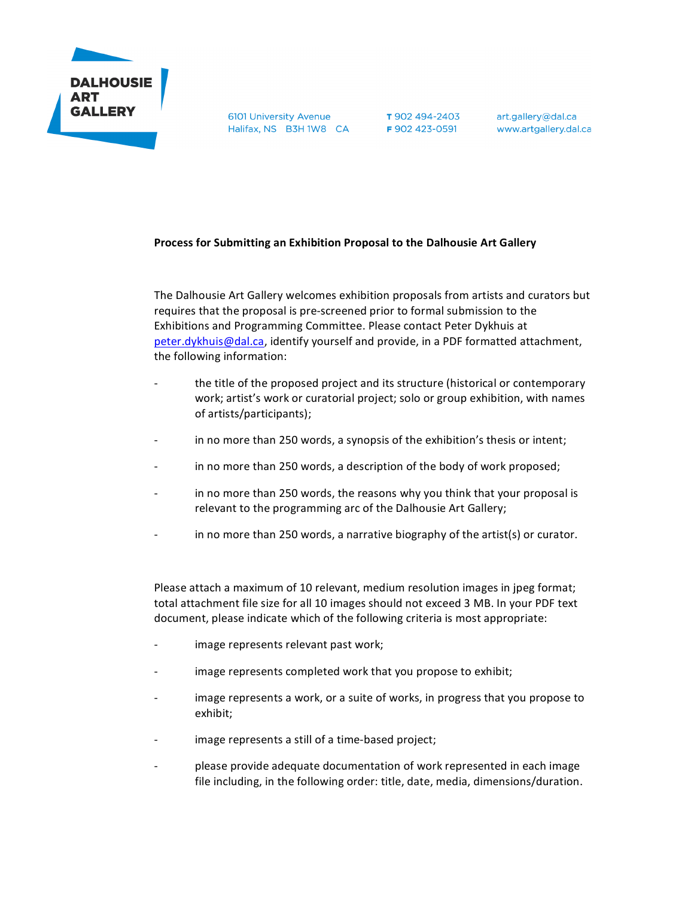

**6101 University Avenue** Halifax, NS B3H 1W8 CA T 902 494-2403 F 902 423-0591

art.gallery@dal.ca www.artgallery.dal.ca

## **Process for Submitting an Exhibition Proposal to the Dalhousie Art Gallery**

The Dalhousie Art Gallery welcomes exhibition proposals from artists and curators but requires that the proposal is pre-screened prior to formal submission to the Exhibitions and Programming Committee. Please contact Peter Dykhuis at peter.dykhuis@dal.ca, identify yourself and provide, in a PDF formatted attachment, the following information:

- the title of the proposed project and its structure (historical or contemporary work; artist's work or curatorial project; solo or group exhibition, with names of artists/participants);
- in no more than 250 words, a synopsis of the exhibition's thesis or intent;
- in no more than 250 words, a description of the body of work proposed;
- in no more than 250 words, the reasons why you think that your proposal is relevant to the programming arc of the Dalhousie Art Gallery;
- in no more than 250 words, a narrative biography of the artist(s) or curator.

Please attach a maximum of 10 relevant, medium resolution images in jpeg format; total attachment file size for all 10 images should not exceed 3 MB. In your PDF text document, please indicate which of the following criteria is most appropriate:

- image represents relevant past work;
- image represents completed work that you propose to exhibit;
- image represents a work, or a suite of works, in progress that you propose to exhibit;
- image represents a still of a time-based project;
- please provide adequate documentation of work represented in each image file including, in the following order: title, date, media, dimensions/duration.